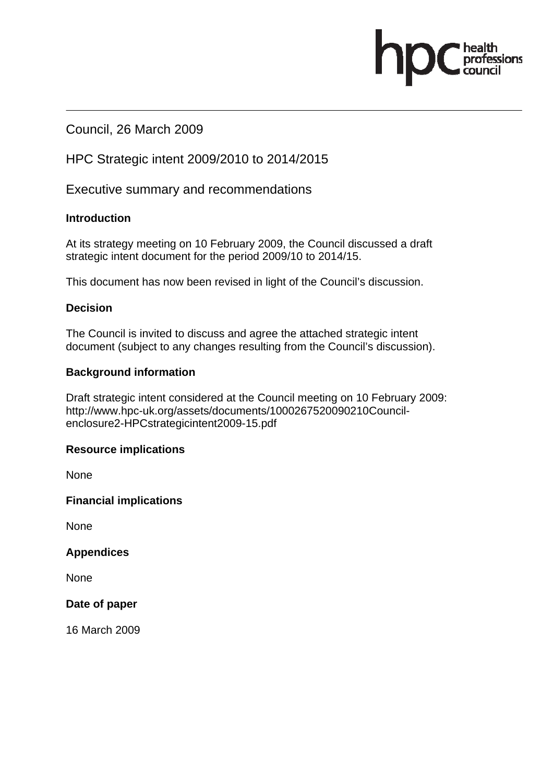# Council, 26 March 2009

# HPC Strategic intent 2009/2010 to 2014/2015

Executive summary and recommendations

#### **Introduction**

At its strategy meeting on 10 February 2009, the Council discussed a draft strategic intent document for the period 2009/10 to 2014/15.

essions

This document has now been revised in light of the Council's discussion.

#### **Decision**

The Council is invited to discuss and agree the attached strategic intent document (subject to any changes resulting from the Council's discussion).

#### **Background information**

Draft strategic intent considered at the Council meeting on 10 February 2009: http://www.hpc-uk.org/assets/documents/1000267520090210Councilenclosure2-HPCstrategicintent2009-15.pdf

#### **Resource implications**

**None** 

**Financial implications** 

None

**Appendices** 

None

**Date of paper** 

16 March 2009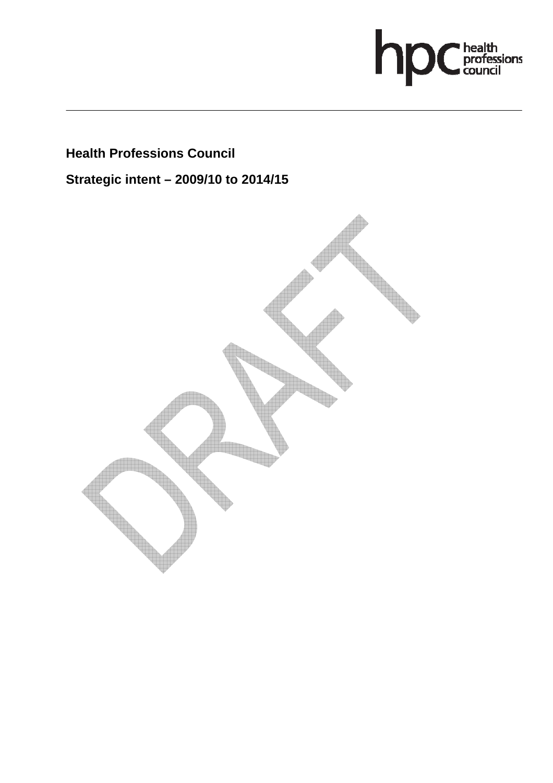

# **Health Professions Council**

**Strategic intent – 2009/10 to 2014/15** 

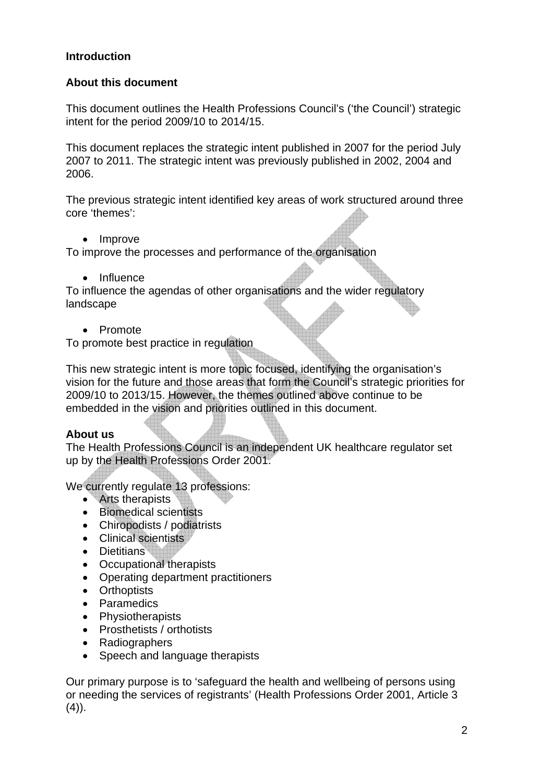#### **Introduction**

#### **About this document**

This document outlines the Health Professions Council's ('the Council') strategic intent for the period 2009/10 to 2014/15.

This document replaces the strategic intent published in 2007 for the period July 2007 to 2011. The strategic intent was previously published in 2002, 2004 and 2006.

The previous strategic intent identified key areas of work structured around three core 'themes':

• Improve

To improve the processes and performance of the organisation

• Influence

To influence the agendas of other organisations and the wider regulatory landscape

• Promote

To promote best practice in regulation

This new strategic intent is more topic focused, identifying the organisation's vision for the future and those areas that form the Council's strategic priorities for 2009/10 to 2013/15. However, the themes outlined above continue to be embedded in the vision and priorities outlined in this document.

### **About us**

The Health Professions Council is an independent UK healthcare regulator set up by the Health Professions Order 2001.

We currently regulate 13 professions:

- Arts therapists
- Biomedical scientists
- Chiropodists / podiatrists
- Clinical scientists
- Dietitians
- Occupational therapists
- Operating department practitioners
- Orthoptists
- Paramedics
- Physiotherapists
- Prosthetists / orthotists
- Radiographers
- Speech and language therapists

Our primary purpose is to 'safeguard the health and wellbeing of persons using or needing the services of registrants' (Health Professions Order 2001, Article 3  $(4)$ ).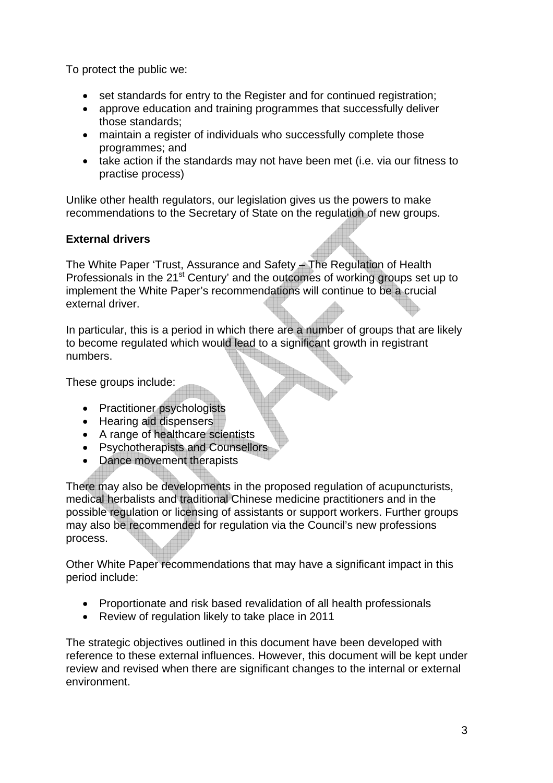To protect the public we:

- set standards for entry to the Register and for continued registration;
- approve education and training programmes that successfully deliver those standards;
- maintain a register of individuals who successfully complete those programmes; and
- take action if the standards may not have been met (i.e. via our fitness to practise process)

Unlike other health regulators, our legislation gives us the powers to make recommendations to the Secretary of State on the regulation of new groups.

## **External drivers**

The White Paper 'Trust, Assurance and Safety – The Regulation of Health Professionals in the  $21<sup>st</sup>$  Century' and the outcomes of working groups set up to implement the White Paper's recommendations will continue to be a crucial external driver.

In particular, this is a period in which there are a number of groups that are likely to become regulated which would lead to a significant growth in registrant numbers.

These groups include:

- Practitioner psychologists
- Hearing aid dispensers
- A range of healthcare scientists
- Psychotherapists and Counsellors
- Dance movement therapists

There may also be developments in the proposed regulation of acupuncturists, medical herbalists and traditional Chinese medicine practitioners and in the possible regulation or licensing of assistants or support workers. Further groups may also be recommended for regulation via the Council's new professions process.

Other White Paper recommendations that may have a significant impact in this period include:

- Proportionate and risk based revalidation of all health professionals
- Review of regulation likely to take place in 2011

The strategic objectives outlined in this document have been developed with reference to these external influences. However, this document will be kept under review and revised when there are significant changes to the internal or external environment.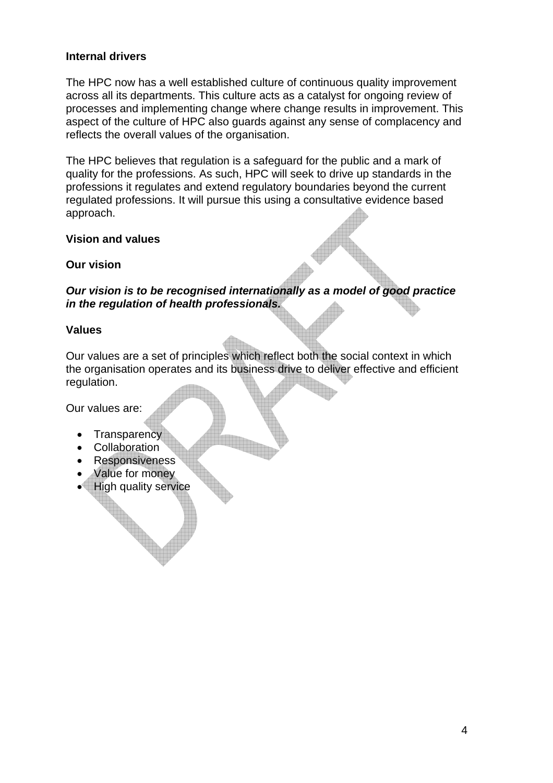#### **Internal drivers**

The HPC now has a well established culture of continuous quality improvement across all its departments. This culture acts as a catalyst for ongoing review of processes and implementing change where change results in improvement. This aspect of the culture of HPC also guards against any sense of complacency and reflects the overall values of the organisation.

The HPC believes that regulation is a safeguard for the public and a mark of quality for the professions. As such, HPC will seek to drive up standards in the professions it regulates and extend regulatory boundaries beyond the current regulated professions. It will pursue this using a consultative evidence based approach.

#### **Vision and values**

#### **Our vision**

*Our vision is to be recognised internationally as a model of good practice in the regulation of health professionals.* 

#### **Values**

Our values are a set of principles which reflect both the social context in which the organisation operates and its business drive to deliver effective and efficient regulation.

Our values are:

- **Transparency**
- **Collaboration**
- **Responsiveness**
- Value for money
- High quality service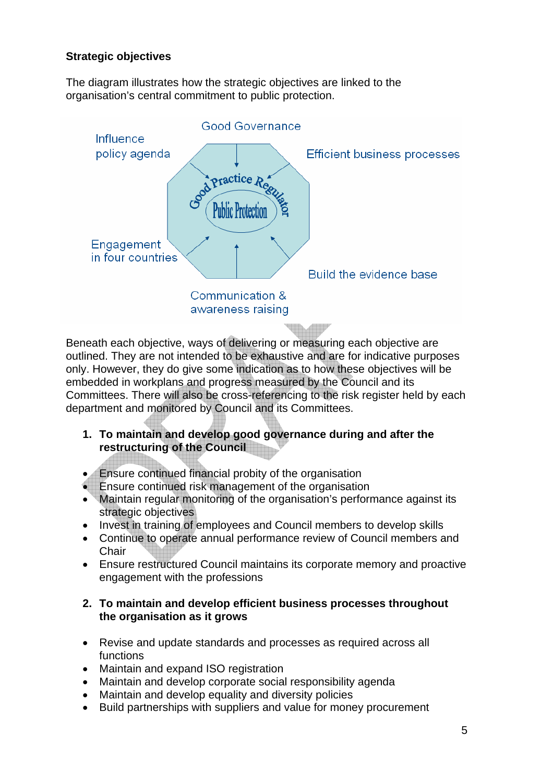#### **Strategic objectives**

The diagram illustrates how the strategic objectives are linked to the organisation's central commitment to public protection.



Beneath each objective, ways of delivering or measuring each objective are outlined. They are not intended to be exhaustive and are for indicative purposes only. However, they do give some indication as to how these objectives will be embedded in workplans and progress measured by the Council and its Committees. There will also be cross-referencing to the risk register held by each department and monitored by Council and its Committees.

- **1. To maintain and develop good governance during and after the restructuring of the Council**
- Ensure continued financial probity of the organisation
- Ensure continued risk management of the organisation
- Maintain regular monitoring of the organisation's performance against its strategic objectives
- Invest in training of employees and Council members to develop skills
- Continue to operate annual performance review of Council members and **Chair**
- Ensure restructured Council maintains its corporate memory and proactive engagement with the professions

#### **2. To maintain and develop efficient business processes throughout the organisation as it grows**

- Revise and update standards and processes as required across all functions
- Maintain and expand ISO registration
- Maintain and develop corporate social responsibility agenda
- Maintain and develop equality and diversity policies
- Build partnerships with suppliers and value for money procurement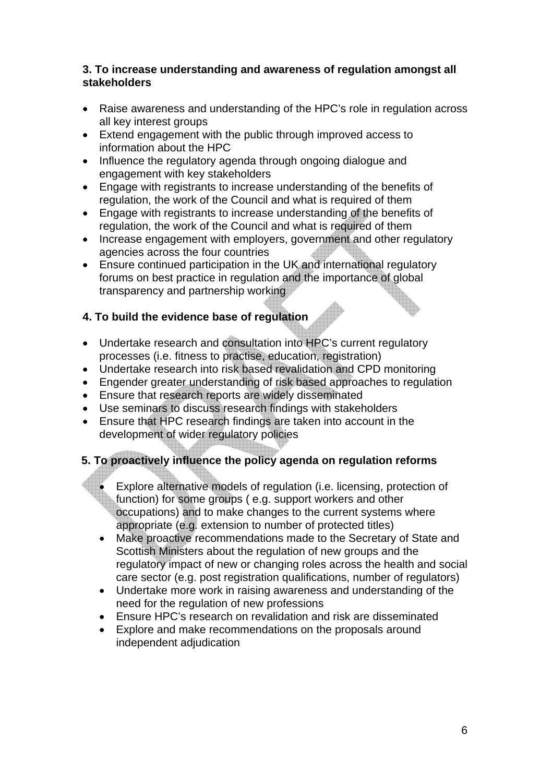#### **3. To increase understanding and awareness of regulation amongst all stakeholders**

- Raise awareness and understanding of the HPC's role in regulation across all key interest groups
- Extend engagement with the public through improved access to information about the HPC
- Influence the regulatory agenda through ongoing dialogue and engagement with key stakeholders
- Engage with registrants to increase understanding of the benefits of regulation, the work of the Council and what is required of them
- Engage with registrants to increase understanding of the benefits of regulation, the work of the Council and what is required of them
- Increase engagement with employers, government and other regulatory agencies across the four countries
- Ensure continued participation in the UK and international regulatory forums on best practice in regulation and the importance of global transparency and partnership working

### **4. To build the evidence base of regulation**

- Undertake research and consultation into HPC's current regulatory processes (i.e. fitness to practise, education, registration)
- Undertake research into risk based revalidation and CPD monitoring
- Engender greater understanding of risk based approaches to regulation
- Ensure that research reports are widely disseminated
- Use seminars to discuss research findings with stakeholders
- Ensure that HPC research findings are taken into account in the development of wider regulatory policies

# **5. To proactively influence the policy agenda on regulation reforms**

- Explore alternative models of regulation (i.e. licensing, protection of function) for some groups ( e.g. support workers and other occupations) and to make changes to the current systems where appropriate (e.g. extension to number of protected titles)
- Make proactive recommendations made to the Secretary of State and Scottish Ministers about the regulation of new groups and the regulatory impact of new or changing roles across the health and social care sector (e.g. post registration qualifications, number of regulators)
- Undertake more work in raising awareness and understanding of the need for the regulation of new professions
- Ensure HPC's research on revalidation and risk are disseminated
- Explore and make recommendations on the proposals around independent adjudication